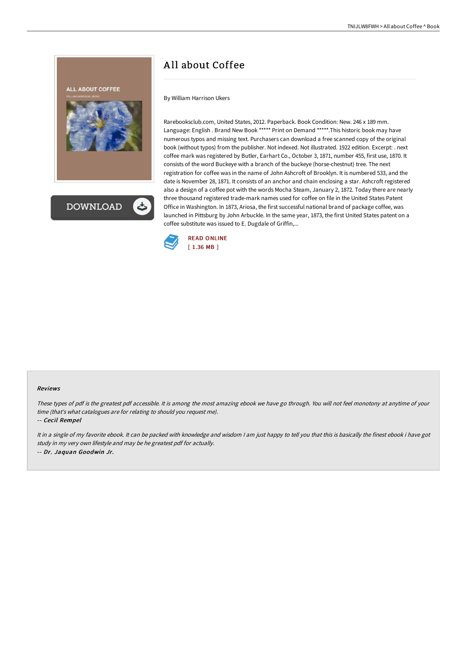By William Harrison Ukers

Rarebooksclub.com, United States, 2012. Paperback. Book Condition: New. 246 x 189 mm. Language: English . Brand New Book \*\*\*\*\* Print on Demand \*\*\*\*\*.This historic book may have numerous typos and missing text. Purchasers can download a free scanned copy of the original book (without typos) from the publisher. Not indexed. Not illustrated. 1922 edition. Excerpt: . next coffee mark was registered by Butler, Earhart Co., October 3, 1871, number 455, first use, 1870. It consists of the word Buckeye with a branch of the buckeye (horse-chestnut) tree. The next registration for coffee was in the name of John Ashcroft of Brooklyn. It is numbered 533, and the date is November 28, 1871. It consists of an anchor and chain enclosing a star. Ashcroft registered also a design of a coffee pot with the words Mocha Steam, January 2, 1872. Today there are nearly three thousand registered trade-mark names used for coffee on file in the United States Patent Office in Washington. In 1873, Ariosa, the first successful national brand of package coffee, was launched in Pittsburg by John Arbuckle. In the same year, 1873, the first United States patent on a coffee substitute was issued to E. Dugdale of Griffin,...



## Reviews

These types of pdf is the greatest pdf accessible. It is among the most amazing ebook we have go through. You will not feel monotony at anytime of your time (that's what catalogues are for relating to should you request me).

-- Cecil Rempel

**ALL ABOUT COFFEE** 

**DOWNLOAD** 

It in a single of my favorite ebook. It can be packed with knowledge and wisdom I am just happy to tell you that this is basically the finest ebook i have got study in my very own lifestyle and may be he greatest pdf for actually. -- Dr. Jaquan Goodwin Jr.